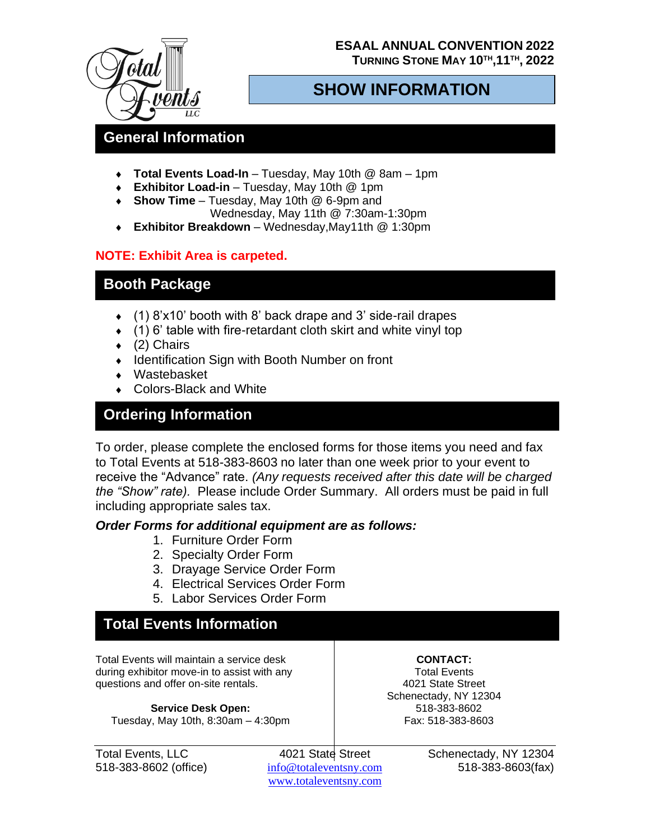### **ESAAL ANNUAL CONVENTION 2022 TURNING STONE MAY 10TH,11TH , 2022**



## **SHOW INFORMATION**

## **General Information**

- **Total Events Load-In** Tuesday, May 10th @ 8am 1pm
- **Exhibitor Load-in** Tuesday, May 10th @ 1pm
- **Show Time**  Tuesday, May 10th @ 6-9pm and Wednesday, May 11th @ 7:30am-1:30pm
- **Exhibitor Breakdown** Wednesday,May11th @ 1:30pm

## **NOTE: Exhibit Area is carpeted.**

## **Booth Package**

- (1) 8'x10' booth with 8' back drape and 3' side-rail drapes
- $(1)$  6' table with fire-retardant cloth skirt and white vinyl top
- $\leftarrow$  (2) Chairs
- $\bullet$  Identification Sign with Booth Number on front
- Wastebasket
- ◆ Colors-Black and White

# **Ordering Information**

To order, please complete the enclosed forms for those items you need and fax to Total Events at 518-383-8603 no later than one week prior to your event to receive the "Advance" rate. *(Any requests received after this date will be charged the "Show" rate).* Please include Order Summary. All orders must be paid in full including appropriate sales tax.

### *Order Forms for additional equipment are as follows:*

- 1. Furniture Order Form
- 2. Specialty Order Form
- 3. Drayage Service Order Form
- 4. Electrical Services Order Form
- 5. Labor Services Order Form

## **Total Events Information**

Total Events will maintain a service desk during exhibitor move-in to assist with any questions and offer on-site rentals.

**Service Desk Open:**  Tuesday, May 10th, 8:30am – 4:30pm

**CONTACT:** Total Events 4021 State Street Schenectady, NY 12304 518-383-8602 Fax: 518-383-8603

[www.totaleventsny.](http://www.totaleventsny/)com

Total Events, LLC 4021 State Street Schenectady, NY 12304 518-383-8602 (office) info@totaleventsny.com 518-383-8603(fax)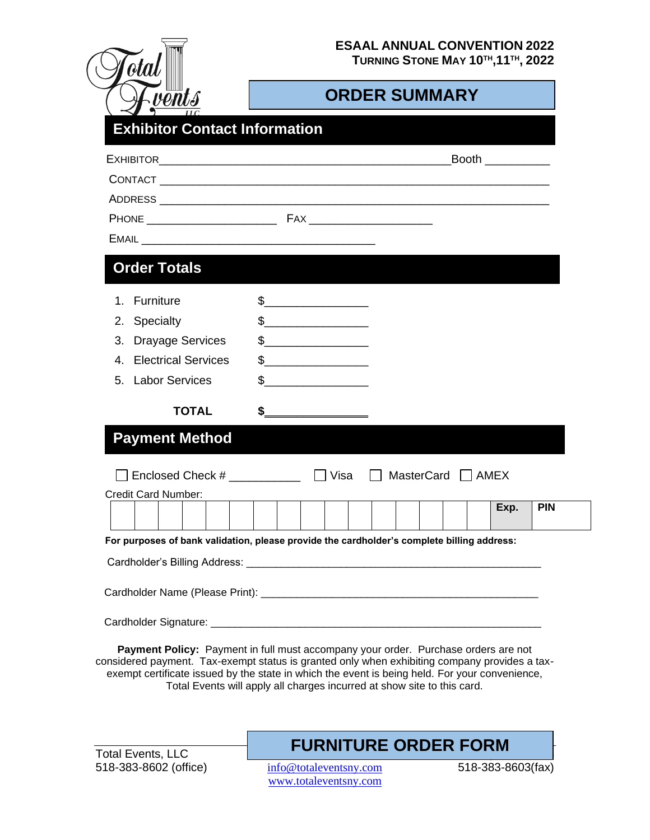**TURNING STONE MAY 10TH,11TH , 2022**

| otal |            |
|------|------------|
|      | ents<br>НC |

 $\overline{$ 

# **ORDER SUMMARY**

|                               |                                                                                                                            | Booth $\_\_$                                                                               |
|-------------------------------|----------------------------------------------------------------------------------------------------------------------------|--------------------------------------------------------------------------------------------|
|                               |                                                                                                                            |                                                                                            |
|                               |                                                                                                                            |                                                                                            |
|                               |                                                                                                                            |                                                                                            |
|                               |                                                                                                                            |                                                                                            |
| <b>Order Totals</b>           |                                                                                                                            |                                                                                            |
| Furniture<br>1.               | $\frac{1}{2}$                                                                                                              |                                                                                            |
| 2. Specialty                  | $\frac{1}{2}$                                                                                                              |                                                                                            |
| <b>Drayage Services</b><br>3. | $\frac{1}{2}$                                                                                                              |                                                                                            |
| 4. Electrical Services        | $\frac{1}{2}$                                                                                                              |                                                                                            |
| 5. Labor Services             | \$<br><u> 1980 - Jan Barnett, mars eta bat eta bat erroman erroman erroman erroman erroman erroman erroman erroman err</u> |                                                                                            |
| <b>TOTAL</b>                  | $\frac{1}{2}$                                                                                                              |                                                                                            |
| <b>Payment Method</b>         |                                                                                                                            |                                                                                            |
| Enclosed Check #              | Visa                                                                                                                       | $\Box$ MasterCard $\Box$ AMEX                                                              |
| <b>Credit Card Number:</b>    |                                                                                                                            |                                                                                            |
|                               |                                                                                                                            | Exp.<br><b>PIN</b>                                                                         |
|                               |                                                                                                                            | For purposes of bank validation, please provide the cardholder's complete billing address: |
|                               |                                                                                                                            |                                                                                            |
|                               |                                                                                                                            |                                                                                            |
|                               |                                                                                                                            |                                                                                            |
|                               |                                                                                                                            |                                                                                            |

**Payment Policy:** Payment in full must accompany your order. Purchase orders are not considered payment. Tax-exempt status is granted only when exhibiting company provides a taxexempt certificate issued by the state in which the event is being held. For your convenience, Total Events will apply all charges incurred at show site to this card.

Total Events, LLC 518-383-8602 (office) info@totaleventsny.com 518-383-8603(fax)

# **FURNITURE ORDER FORM**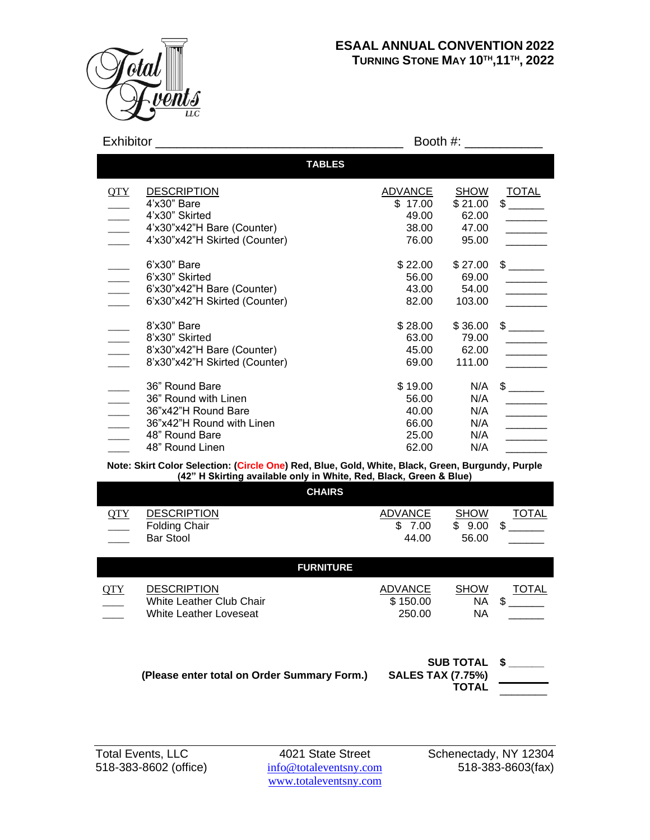

| Exhibitor                                                                         |                                                                                                                                 |                                                      |                                                   |                                                                                                                                                                                                                                                                                                                                                                                                                                                                                                                     |
|-----------------------------------------------------------------------------------|---------------------------------------------------------------------------------------------------------------------------------|------------------------------------------------------|---------------------------------------------------|---------------------------------------------------------------------------------------------------------------------------------------------------------------------------------------------------------------------------------------------------------------------------------------------------------------------------------------------------------------------------------------------------------------------------------------------------------------------------------------------------------------------|
|                                                                                   | <b>TABLES</b>                                                                                                                   |                                                      |                                                   |                                                                                                                                                                                                                                                                                                                                                                                                                                                                                                                     |
| OTY                                                                               | <b>DESCRIPTION</b><br>4'x30" Bare<br>4'x30" Skirted<br>4'x30"x42"H Bare (Counter)<br>4'x30"x42"H Skirted (Counter)              | <b>ADVANCE</b><br>\$17.00<br>49.00<br>38.00<br>76.00 | <b>SHOW</b><br>\$21.00<br>62.00<br>47.00<br>95.00 | <b>TOTAL</b>                                                                                                                                                                                                                                                                                                                                                                                                                                                                                                        |
| $\frac{1}{2}$                                                                     | 6'x30" Bare<br>6'x30" Skirted<br>6'x30"x42"H Bare (Counter)<br>6'x30"x42"H Skirted (Counter)                                    | \$22.00<br>56.00<br>43.00<br>82.00                   | \$27.00<br>69.00<br>54.00<br>103.00               | <b>Contract Contract</b><br>$\frac{1}{2}$                                                                                                                                                                                                                                                                                                                                                                                                                                                                           |
| $\overline{\phantom{a}}$<br>$\overline{a}$                                        | 8'x30" Bare<br>8'x30" Skirted<br>8'x30"x42"H Bare (Counter)<br>8'x30"x42"H Skirted (Counter)                                    | \$28.00<br>63.00<br>45.00<br>69.00                   | \$36.00<br>79.00<br>62.00<br>111.00               | $\frac{1}{\frac{1}{\sqrt{1-\frac{1}{2}}\left(1-\frac{1}{2}\right)}}\frac{1}{\sqrt{1-\frac{1}{2}}\left(1-\frac{1}{2}\right)}\frac{1}{\sqrt{1-\frac{1}{2}}\left(1-\frac{1}{2}\right)}\frac{1}{\sqrt{1-\frac{1}{2}}\left(1-\frac{1}{2}\right)}\frac{1}{\sqrt{1-\frac{1}{2}}\left(1-\frac{1}{2}\right)}\frac{1}{\sqrt{1-\frac{1}{2}}\left(1-\frac{1}{2}\right)}\frac{1}{\sqrt{1-\frac{1}{2}}\left(1-\frac{1}{2}\right)}\frac{1}{\sqrt{1-\frac{$                                                                         |
| $\frac{1}{\sqrt{1-\frac{1}{2}}}\left( \frac{1}{\sqrt{1-\frac{1}{2}}}\right) ^{2}$ | 36" Round Bare<br>36" Round with Linen<br>36"x42"H Round Bare<br>36"x42"H Round with Linen<br>48" Round Bare<br>48" Round Linen | \$19.00<br>56.00<br>40.00<br>66.00<br>25.00<br>62.00 | N/A<br>N/A<br>N/A<br>N/A<br>N/A<br>N/A            | $$\overline{\phantom{2}}$$<br>$\frac{1}{1-\frac{1}{2}}\left( \frac{1}{\sqrt{2}}\right) \left( \frac{1}{\sqrt{2}}\right) \left( \frac{1}{\sqrt{2}}\right) \left( \frac{1}{\sqrt{2}}\right) \left( \frac{1}{\sqrt{2}}\right) \left( \frac{1}{\sqrt{2}}\right) \left( \frac{1}{\sqrt{2}}\right) \left( \frac{1}{\sqrt{2}}\right) \left( \frac{1}{\sqrt{2}}\right) \left( \frac{1}{\sqrt{2}}\right) \left( \frac{1}{\sqrt{2}}\right) \left( \frac{1}{\sqrt{2}}\right) \left( \frac{1}{\sqrt{2}}\right$<br>$\frac{1}{1}$ |

#### **Note: Skirt Color Selection: (Circle One) Red, Blue, Gold, White, Black, Green, Burgundy, Purple (42" H Skirting available only in White, Red, Black, Green & Blue)**

|            |                                                                                 | <b>CHAIRS</b>    |                                                 |                                       |             |
|------------|---------------------------------------------------------------------------------|------------------|-------------------------------------------------|---------------------------------------|-------------|
| <b>QTY</b> | <b>DESCRIPTION</b><br><b>Folding Chair</b><br><b>Bar Stool</b>                  |                  | <b>ADVANCE</b><br>$\mathbb{S}$<br>7.00<br>44.00 | <b>SHOW</b><br>\$<br>9.00<br>56.00    | TOTAL<br>\$ |
|            |                                                                                 | <b>FURNITURE</b> |                                                 |                                       |             |
| <b>QTY</b> | <b>DESCRIPTION</b><br><b>White Leather Club Chair</b><br>White Leather Loveseat |                  | <b>ADVANCE</b><br>\$150.00<br>250.00            | <b>SHOW</b><br><b>NA</b><br><b>NA</b> | TOTAL<br>\$ |

|                                             | SUB TOTAL \$             |  |
|---------------------------------------------|--------------------------|--|
| (Please enter total on Order Summary Form.) | <b>SALES TAX (7.75%)</b> |  |
|                                             | TOTAL                    |  |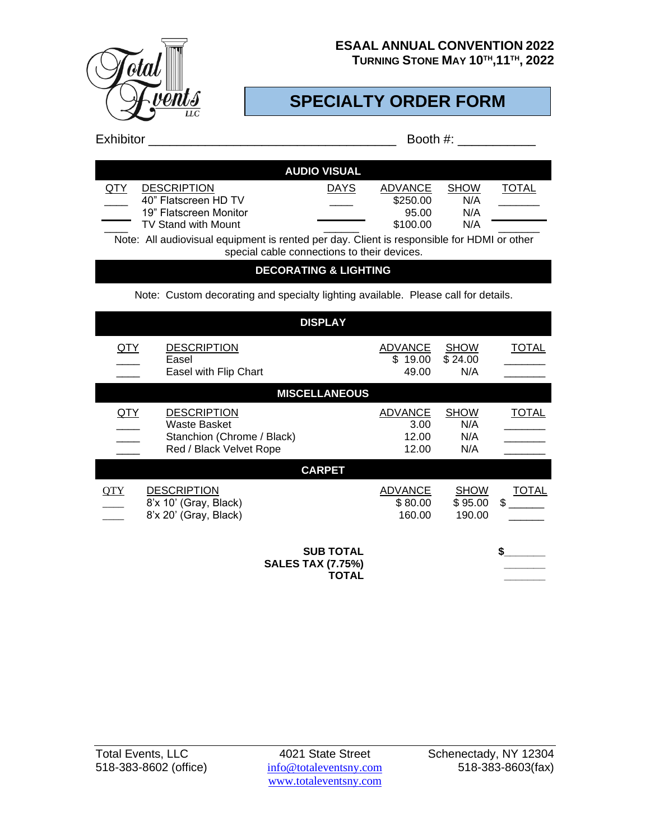

**TURNING STONE MAY 10TH,11TH , 2022**

# **SPECIALTY ORDER FORM**

| <b>Exhibitor</b> |
|------------------|
|                  |
|                  |

| <b>Exhibitor</b> | Booth #: |
|------------------|----------|
|------------------|----------|

|     |                            | <b>AUDIO VISUAL</b> |          |             |       |
|-----|----------------------------|---------------------|----------|-------------|-------|
| QTY | <b>DESCRIPTION</b>         | <b>DAYS</b>         | ADVANCE  | <b>SHOW</b> | TOTAL |
|     | 40" Flatscreen HD TV       |                     | \$250.00 | N/A         |       |
|     | 19" Flatscreen Monitor     |                     | 95.00    | N/A         |       |
|     | <b>TV Stand with Mount</b> |                     | \$100.00 | N/A         |       |
|     |                            |                     |          |             |       |

Note: All audiovisual equipment is rented per day. Client is responsible for HDMI or other special cable connections to their devices.

### **DECORATING & LIGHTING**

Note: Custom decorating and specialty lighting available. Please call for details.

| <b>DISPLAY</b>                                               |                                                                                             |                      |                                          |                                  |                    |
|--------------------------------------------------------------|---------------------------------------------------------------------------------------------|----------------------|------------------------------------------|----------------------------------|--------------------|
| <u>QTY</u>                                                   | <b>DESCRIPTION</b><br>Easel                                                                 |                      | <b>ADVANCE</b><br>\$19.00                | <b>SHOW</b><br>\$24.00           | TOTAL              |
|                                                              | Easel with Flip Chart                                                                       |                      | 49.00                                    | N/A                              |                    |
|                                                              |                                                                                             | <b>MISCELLANEOUS</b> |                                          |                                  |                    |
| <u>QTY</u>                                                   | <b>DESCRIPTION</b><br>Waste Basket<br>Stanchion (Chrome / Black)<br>Red / Black Velvet Rope |                      | <b>ADVANCE</b><br>3.00<br>12.00<br>12.00 | <b>SHOW</b><br>N/A<br>N/A<br>N/A | TOTAL              |
|                                                              |                                                                                             | <b>CARPET</b>        |                                          |                                  |                    |
| <b>QTY</b>                                                   | <b>DESCRIPTION</b><br>8'x 10' (Gray, Black)<br>8'x 20' (Gray, Black)                        |                      | <b>ADVANCE</b><br>\$80.00<br>160.00      | <b>SHOW</b><br>\$95.00<br>190.00 | <b>TOTAL</b><br>\$ |
| <b>SUB TOTAL</b><br><b>SALES TAX (7.75%)</b><br><b>TOTAL</b> |                                                                                             |                      |                                          |                                  |                    |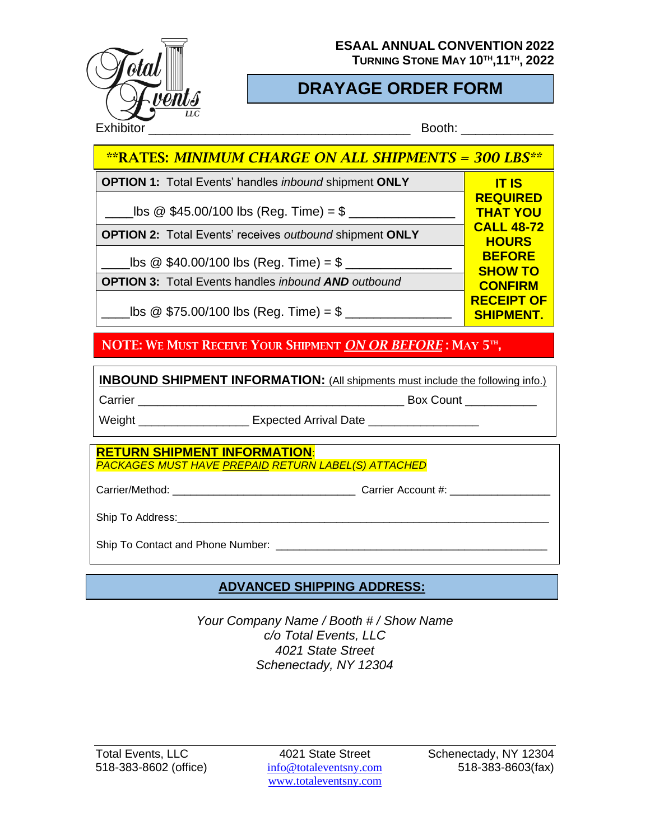

**TURNING STONE MAY 10TH,11TH , 2022**

# **DRAYAGE ORDER FORM**

| <u>**RATES: MINIMUM CHARGE ON ALL SHIPMENTS = 300 LBS**</u>    |                                       |
|----------------------------------------------------------------|---------------------------------------|
| <b>OPTION 1: Total Events' handles inbound shipment ONLY</b>   | <b>IT IS</b>                          |
| $\Delta$ lbs @ \$45.00/100 lbs (Reg. Time) = \$                | <b>REQUIRED</b><br><b>THAT YOU</b>    |
| <b>OPTION 2:</b> Total Events' receives outbound shipment ONLY | <b>CALL 48-72</b><br><b>HOURS</b>     |
| $10s \& $40.00/100$ lbs (Reg. Time) = \$                       | <b>BEFORE</b><br><b>SHOW TO</b>       |
| <b>OPTION 3: Total Events handles inbound AND outbound</b>     | <b>CONFIRM</b>                        |
| $10s \& $75.00/100$ lbs (Reg. Time) = \$                       | <b>RECEIPT OF</b><br><b>SHIPMENT.</b> |

NOTE: WE MUST RECEIVE YOUR SHIPMENT *ON OR BEFORE* : MAY 5 TH ,

**INBOUND SHIPMENT INFORMATION:** (All shipments must include the following info.) Carrier \_\_\_\_\_\_\_\_\_\_\_\_\_\_\_\_\_\_\_\_\_\_\_\_\_\_\_\_\_\_\_\_\_\_\_\_\_\_\_\_\_ Box Count \_\_\_\_\_\_\_\_\_\_\_ Weight \_\_\_\_\_\_\_\_\_\_\_\_\_\_\_\_\_\_\_\_\_\_\_ Expected Arrival Date \_\_\_\_\_\_\_\_\_\_\_\_\_\_\_\_\_\_\_\_\_\_\_\_\_\_\_

**RETURN SHIPMENT INFORMATION**: *PACKAGES MUST HAVE PREPAID RETURN LABEL(S) ATTACHED*

222020222020

Carrier/Method: \_\_\_\_\_\_\_\_\_\_\_\_\_\_\_\_\_\_\_\_\_\_\_\_\_\_\_\_\_\_\_ Carrier Account #: \_\_\_\_\_\_\_\_\_\_\_\_\_\_\_\_\_

Ship To Address:  $\Box$ 

Ship To Contact and Phone Number:  $\Box$ 

## **ADVANCED SHIPPING ADDRESS:**

*Your Company Name / Booth # / Show Name c/o Total Events, LLC 4021 State Street Schenectady, NY 12304*

[www.totaleventsny.](http://www.totaleventsny/)com

Total Events, LLC 4021 State Street Schenectady, NY 12304 518-383-8602 (office) info@totaleventsny.com 518-383-8603(fax)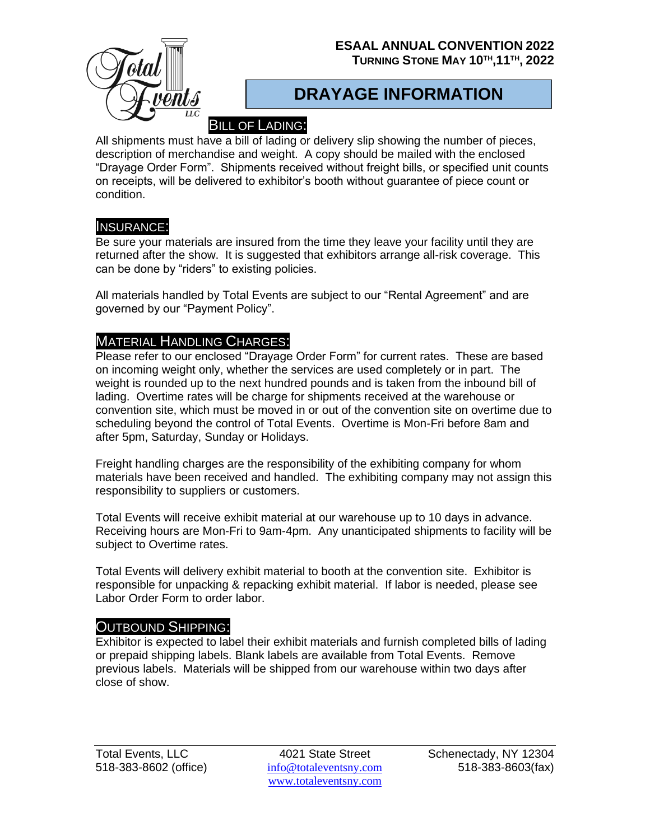### **ESAAL ANNUAL CONVENTION 2022 TURNING STONE MAY 10TH,11TH , 2022**



## **DRAYAGE INFORMATION**

## BILL OF LADING:

All shipments must have a bill of lading or delivery slip showing the number of pieces, description of merchandise and weight. A copy should be mailed with the enclosed "Drayage Order Form". Shipments received without freight bills, or specified unit counts on receipts, will be delivered to exhibitor's booth without guarantee of piece count or condition.

### INSURANCE:

Be sure your materials are insured from the time they leave your facility until they are returned after the show. It is suggested that exhibitors arrange all-risk coverage. This can be done by "riders" to existing policies.

All materials handled by Total Events are subject to our "Rental Agreement" and are governed by our "Payment Policy".

## MATERIAL HANDLING CHARGES:

Please refer to our enclosed "Drayage Order Form" for current rates. These are based on incoming weight only, whether the services are used completely or in part. The weight is rounded up to the next hundred pounds and is taken from the inbound bill of lading. Overtime rates will be charge for shipments received at the warehouse or convention site, which must be moved in or out of the convention site on overtime due to scheduling beyond the control of Total Events. Overtime is Mon-Fri before 8am and after 5pm, Saturday, Sunday or Holidays.

Freight handling charges are the responsibility of the exhibiting company for whom materials have been received and handled. The exhibiting company may not assign this responsibility to suppliers or customers.

Total Events will receive exhibit material at our warehouse up to 10 days in advance. Receiving hours are Mon-Fri to 9am-4pm. Any unanticipated shipments to facility will be subject to Overtime rates.

Total Events will delivery exhibit material to booth at the convention site. Exhibitor is responsible for unpacking & repacking exhibit material. If labor is needed, please see Labor Order Form to order labor.

### OUTBOUND SHIPPING:

Exhibitor is expected to label their exhibit materials and furnish completed bills of lading or prepaid shipping labels. Blank labels are available from Total Events. Remove previous labels. Materials will be shipped from our warehouse within two days after close of show.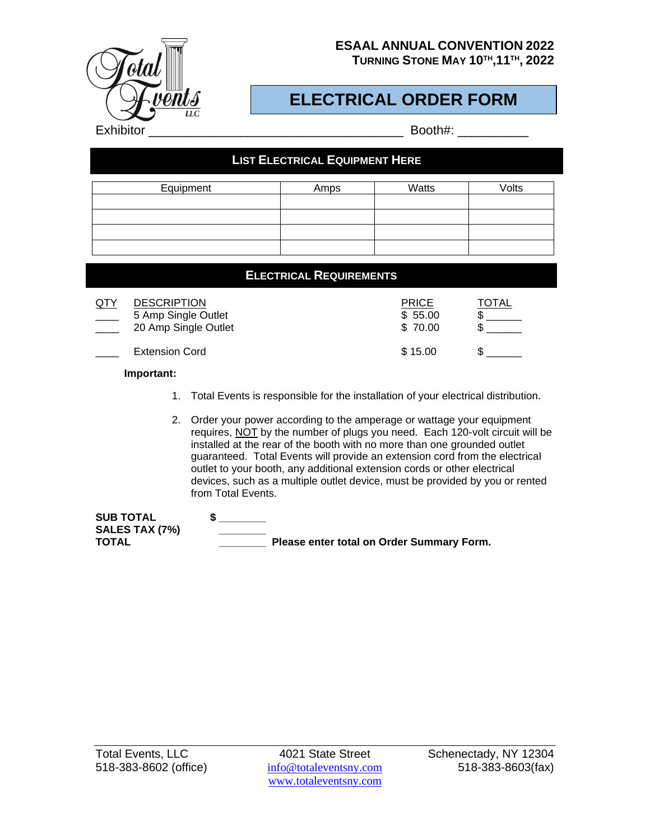

**TURNING STONE MAY 10TH,11TH , 2022**

# **ELECTRICAL ORDER FORM**

| <b>LIST ELECTRICAL EQUIPMENT HERE</b> |      |       |       |
|---------------------------------------|------|-------|-------|
| Equipment                             | Amps | Watts | Volts |
|                                       |      |       |       |
|                                       |      |       |       |
|                                       |      |       |       |
|                                       |      |       |       |

|                                                                   | <b>ELECTRICAL REQUIREMENTS</b> |                                    |       |
|-------------------------------------------------------------------|--------------------------------|------------------------------------|-------|
| <b>DESCRIPTION</b><br>5 Amp Single Outlet<br>20 Amp Single Outlet |                                | <b>PRICE</b><br>\$55.00<br>\$70.00 | TOTAL |
| <b>Extension Cord</b>                                             |                                | \$15.00                            |       |

**Important:**

- 1. Total Events is responsible for the installation of your electrical distribution.
- 2. Order your power according to the amperage or wattage your equipment requires, NOT by the number of plugs you need. Each 120-volt circuit will be installed at the rear of the booth with no more than one grounded outlet guaranteed. Total Events will provide an extension cord from the electrical outlet to your booth, any additional extension cords or other electrical devices, such as a multiple outlet device, must be provided by you or rented from Total Events.

| <b>SUB TOTAL</b>      |                                           |  |
|-----------------------|-------------------------------------------|--|
| <b>SALES TAX (7%)</b> |                                           |  |
| TOTAL                 | Please enter total on Order Summary Form. |  |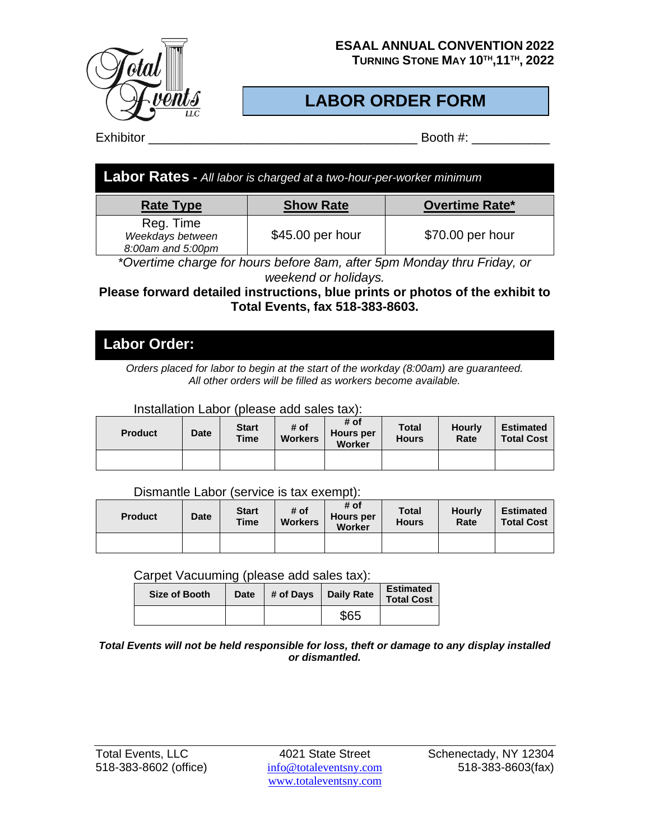

**TURNING STONE MAY 10TH,11TH , 2022**

# **LABOR ORDER FORM**

Exhibitor \_\_\_\_\_\_\_\_\_\_\_\_\_\_\_\_\_\_\_\_\_\_\_\_\_\_\_\_\_\_\_\_\_\_\_\_\_\_ Booth #: \_\_\_\_\_\_\_\_\_\_\_

| <b>Labor Rates</b> - All labor is charged at a two-hour-per-worker minimum |                  |                       |  |  |  |  |
|----------------------------------------------------------------------------|------------------|-----------------------|--|--|--|--|
| <b>Rate Type</b>                                                           | <b>Show Rate</b> | <b>Overtime Rate*</b> |  |  |  |  |
| Reg. Time<br>Weekdays between<br>8:00am and 5:00pm                         | \$45.00 per hour | \$70.00 per hour      |  |  |  |  |

*\*Overtime charge for hours before 8am, after 5pm Monday thru Friday, or weekend or holidays.*

### **Please forward detailed instructions, blue prints or photos of the exhibit to Total Events, fax 518-383-8603.**

## **Labor Order:**

*Orders placed for labor to begin at the start of the workday (8:00am) are guaranteed. All other orders will be filled as workers become available.*

Installation Labor (please add sales tax):

| <b>Product</b> | <b>Date</b> | <b>Start</b><br><b>Time</b> | # of<br><b>Workers</b> | # of<br><b>Hours per</b><br><b>Worker</b> | <b>Total</b><br><b>Hours</b> | <b>Hourly</b><br>Rate | <b>Estimated</b><br><b>Total Cost</b> |
|----------------|-------------|-----------------------------|------------------------|-------------------------------------------|------------------------------|-----------------------|---------------------------------------|
|                |             |                             |                        |                                           |                              |                       |                                       |

Dismantle Labor (service is tax exempt):

| <b>Product</b> | <b>Date</b> | <b>Start</b><br><b>Time</b> | # of<br><b>Workers</b> | # of<br><b>Hours per</b><br>Worker | <b>Total</b><br><b>Hours</b> | <b>Hourly</b><br>Rate | <b>Estimated</b><br><b>Total Cost</b> |
|----------------|-------------|-----------------------------|------------------------|------------------------------------|------------------------------|-----------------------|---------------------------------------|
|                |             |                             |                        |                                    |                              |                       |                                       |

### Carpet Vacuuming (please add sales tax):

| Size of Booth | Date |  | # of Days   Daily Rate | <b>Estimated</b><br><b>Total Cost</b> |
|---------------|------|--|------------------------|---------------------------------------|
|               |      |  | \$65                   |                                       |

*Total Events will not be held responsible for loss, theft or damage to any display installed or dismantled.*